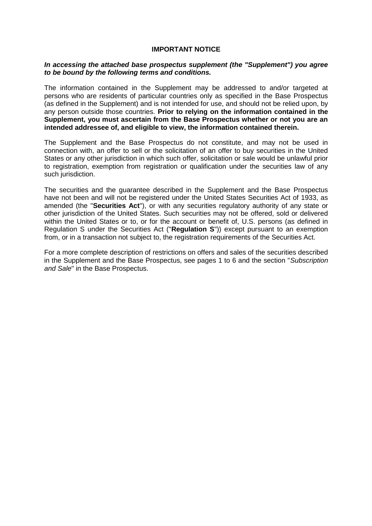#### **IMPORTANT NOTICE**

### *In accessing the attached base prospectus supplement (the "Supplement") you agree to be bound by the following terms and conditions.*

The information contained in the Supplement may be addressed to and/or targeted at persons who are residents of particular countries only as specified in the Base Prospectus (as defined in the Supplement) and is not intended for use, and should not be relied upon, by any person outside those countries. **Prior to relying on the information contained in the Supplement, you must ascertain from the Base Prospectus whether or not you are an intended addressee of, and eligible to view, the information contained therein.**

The Supplement and the Base Prospectus do not constitute, and may not be used in connection with, an offer to sell or the solicitation of an offer to buy securities in the United States or any other jurisdiction in which such offer, solicitation or sale would be unlawful prior to registration, exemption from registration or qualification under the securities law of any such jurisdiction.

The securities and the guarantee described in the Supplement and the Base Prospectus have not been and will not be registered under the United States Securities Act of 1933, as amended (the "**Securities Act**"), or with any securities regulatory authority of any state or other jurisdiction of the United States. Such securities may not be offered, sold or delivered within the United States or to, or for the account or benefit of, U.S. persons (as defined in Regulation S under the Securities Act ("**Regulation S**")) except pursuant to an exemption from, or in a transaction not subject to, the registration requirements of the Securities Act.

For a more complete description of restrictions on offers and sales of the securities described in the Supplement and the Base Prospectus, see pages 1 to 6 and the section "*Subscription and Sale*" in the Base Prospectus.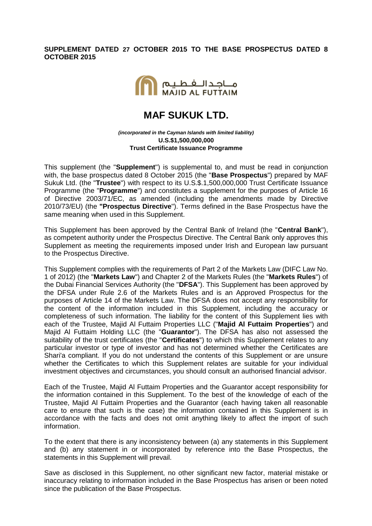## **SUPPLEMENT DATED 27 OCTOBER 2015 TO THE BASE PROSPECTUS DATED 8 OCTOBER 2015**



# **MAF SUKUK LTD.**

*(incorporated in the Cayman Islands with limited liability)* **U.S.\$1,500,000,000 Trust Certificate Issuance Programme**

This supplement (the "**Supplement**") is supplemental to, and must be read in conjunction with, the base prospectus dated 8 October 2015 (the "**Base Prospectus**") prepared by MAF Sukuk Ltd. (the "**Trustee**") with respect to its U.S.\$.1,500,000,000 Trust Certificate Issuance Programme (the "**Programme**") and constitutes a supplement for the purposes of Article 16 of Directive 2003/71/EC, as amended (including the amendments made by Directive 2010/73/EU) (the **"Prospectus Directive**"). Terms defined in the Base Prospectus have the same meaning when used in this Supplement.

This Supplement has been approved by the Central Bank of Ireland (the "**Central Bank**"), as competent authority under the Prospectus Directive. The Central Bank only approves this Supplement as meeting the requirements imposed under Irish and European law pursuant to the Prospectus Directive.

This Supplement complies with the requirements of Part 2 of the Markets Law (DIFC Law No. 1 of 2012) (the "**Markets Law**") and Chapter 2 of the Markets Rules (the "**Markets Rules**") of the Dubai Financial Services Authority (the "**DFSA**"). This Supplement has been approved by the DFSA under Rule 2.6 of the Markets Rules and is an Approved Prospectus for the purposes of Article 14 of the Markets Law. The DFSA does not accept any responsibility for the content of the information included in this Supplement, including the accuracy or completeness of such information. The liability for the content of this Supplement lies with each of the Trustee, Majid Al Futtaim Properties LLC ("**Majid Al Futtaim Properties**") and Majid Al Futtaim Holding LLC (the "**Guarantor**"). The DFSA has also not assessed the suitability of the trust certificates (the "**Certificates**") to which this Supplement relates to any particular investor or type of investor and has not determined whether the Certificates are Shari'a compliant. If you do not understand the contents of this Supplement or are unsure whether the Certificates to which this Supplement relates are suitable for your individual investment objectives and circumstances, you should consult an authorised financial advisor.

Each of the Trustee, Majid Al Futtaim Properties and the Guarantor accept responsibility for the information contained in this Supplement. To the best of the knowledge of each of the Trustee, Majid Al Futtaim Properties and the Guarantor (each having taken all reasonable care to ensure that such is the case) the information contained in this Supplement is in accordance with the facts and does not omit anything likely to affect the import of such information.

To the extent that there is any inconsistency between (a) any statements in this Supplement and (b) any statement in or incorporated by reference into the Base Prospectus, the statements in this Supplement will prevail.

Save as disclosed in this Supplement, no other significant new factor, material mistake or inaccuracy relating to information included in the Base Prospectus has arisen or been noted since the publication of the Base Prospectus.